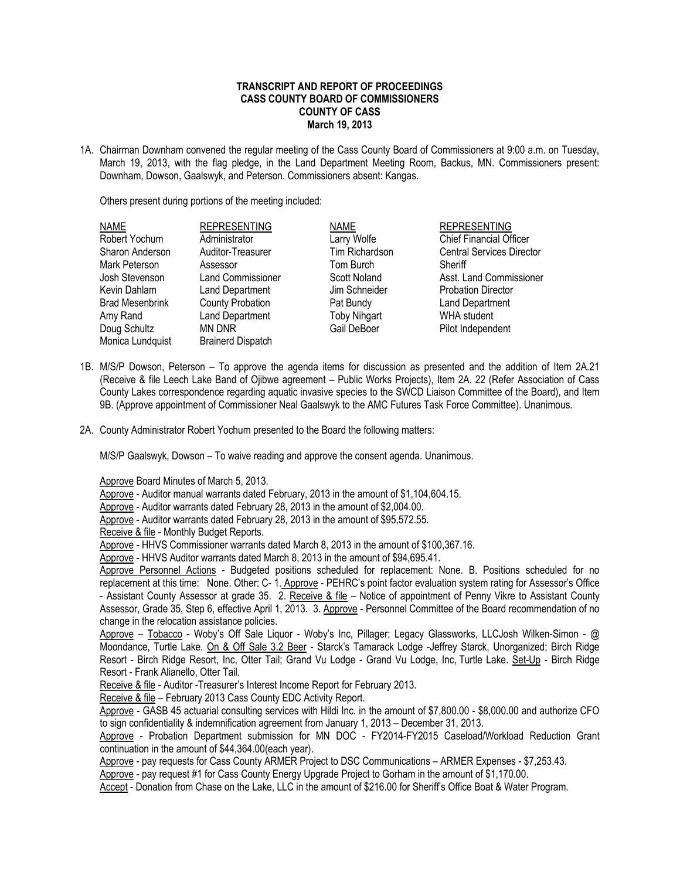## **TRANSCRIPT AND REPORT OF PROCEEDINGS CASS COUNTY BOARD OF COMMISSIONERS COUNTY OF CASS March 19, 2013**

1A. Chairman Downham convened the regular meeting of the Cass County Board of Commissioners at 9:00 a.m. on Tuesday, March 19, 2013, with the flag pledge, in the Land Department Meeting Room, Backus, MN. Commissioners present: Downham, Dowson, Gaalswyk, and Peterson. Commissioners absent: Kangas.

Others present during portions of the meeting included:

| <b>NAME</b>            | <b>REPRESENTING</b>      | <b>NAME</b>         | <b>REPRESENTING</b>              |
|------------------------|--------------------------|---------------------|----------------------------------|
| Robert Yochum          | Administrator            | Larry Wolfe         | <b>Chief Financial Officer</b>   |
| Sharon Anderson        | Auditor-Treasurer        | Tim Richardson      | <b>Central Services Director</b> |
| Mark Peterson          | Assessor                 | Tom Burch           | Sheriff                          |
| Josh Stevenson         | <b>Land Commissioner</b> | Scott Noland        | Asst. Land Commissioner          |
| Kevin Dahlam           | Land Department          | Jim Schneider       | <b>Probation Director</b>        |
| <b>Brad Mesenbrink</b> | <b>County Probation</b>  | Pat Bundy           | Land Department                  |
| Amy Rand               | Land Department          | <b>Toby Nihgart</b> | <b>WHA</b> student               |
| Doug Schultz           | MN DNR                   | Gail DeBoer         | Pilot Independent                |
| Monica Lundquist       | <b>Brainerd Dispatch</b> |                     |                                  |

- 1B. M/S/P Dowson, Peterson To approve the agenda items for discussion as presented and the addition of Item 2A.21 (Receive & file Leech Lake Band of Ojibwe agreement – Public Works Projects), Item 2A. 22 (Refer Association of Cass County Lakes correspondence regarding aquatic invasive species to the SWCD Liaison Committee of the Board), and Item 9B. (Approve appointment of Commissioner Neal Gaalswyk to the AMC Futures Task Force Committee). Unanimous.
- 2A. County Administrator Robert Yochum presented to the Board the following matters:

M/S/P Gaalswyk, Dowson – To waive reading and approve the consent agenda. Unanimous.

Approve Board Minutes of March 5, 2013.

Approve - Auditor manual warrants dated February, 2013 in the amount of \$1,104,604.15.

Approve - Auditor warrants dated February 28, 2013 in the amount of \$2,004.00.

Approve - Auditor warrants dated February 28, 2013 in the amount of \$95,572.55.

Receive & file - Monthly Budget Reports.

Approve - HHVS Commissioner warrants dated March 8, 2013 in the amount of \$100,367.16.

Approve - HHVS Auditor warrants dated March 8, 2013 in the amount of \$94,695.41.

Approve Personnel Actions - Budgeted positions scheduled for replacement: None. B. Positions scheduled for no replacement at this time: None. Other: C- 1. Approve - PEHRC's point factor evaluation system rating for Assessor's Office - Assistant County Assessor at grade 35. 2. Receive & file – Notice of appointment of Penny Vikre to Assistant County Assessor, Grade 35, Step 6, effective April 1, 2013. 3. Approve - Personnel Committee of the Board recommendation of no change in the relocation assistance policies.

Approve – Tobacco - Woby's Off Sale Liquor - Woby's Inc, Pillager; Legacy Glassworks, LLCJosh Wilken-Simon - @ Moondance, Turtle Lake. On & Off Sale 3.2 Beer - Starck's Tamarack Lodge -Jeffrey Starck, Unorganized; Birch Ridge Resort - Birch Ridge Resort, Inc, Otter Tail; Grand Vu Lodge - Grand Vu Lodge, Inc, Turtle Lake. Set-Up - Birch Ridge Resort - Frank Alianello, Otter Tail.

Receive & file - Auditor -Treasurer's Interest Income Report for February 2013.

Receive & file – February 2013 Cass County EDC Activity Report.

Approve - GASB 45 actuarial consulting services with Hildi Inc. in the amount of \$7,800.00 - \$8,000.00 and authorize CFO to sign confidentiality & indemnification agreement from January 1, 2013 – December 31, 2013.

Approve - Probation Department submission for MN DOC - FY2014-FY2015 Caseload/Workload Reduction Grant continuation in the amount of \$44,364.00(each year).

Approve - pay requests for Cass County ARMER Project to DSC Communications – ARMER Expenses - \$7,253.43.

Approve - pay request #1 for Cass County Energy Upgrade Project to Gorham in the amount of \$1,170.00.

Accept - Donation from Chase on the Lake, LLC in the amount of \$216.00 for Sheriff's Office Boat & Water Program.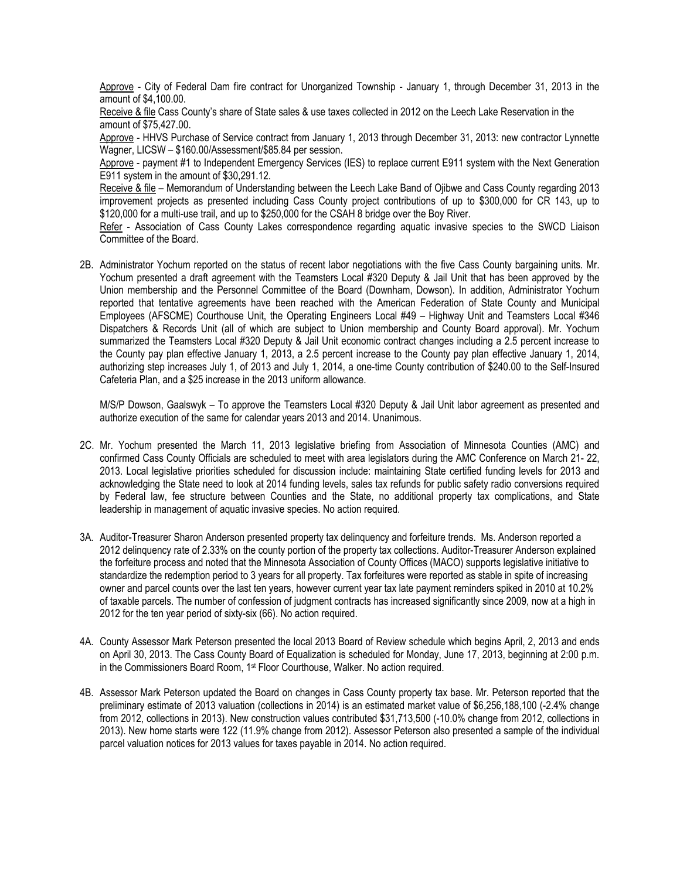Approve - City of Federal Dam fire contract for Unorganized Township - January 1, through December 31, 2013 in the amount of \$4,100.00.

Receive & file Cass County's share of State sales & use taxes collected in 2012 on the Leech Lake Reservation in the amount of \$75,427.00.

Approve - HHVS Purchase of Service contract from January 1, 2013 through December 31, 2013: new contractor Lynnette Wagner, LICSW – \$160.00/Assessment/\$85.84 per session.

Approve - payment #1 to Independent Emergency Services (IES) to replace current E911 system with the Next Generation E911 system in the amount of \$30,291.12.

Receive & file – Memorandum of Understanding between the Leech Lake Band of Ojibwe and Cass County regarding 2013 improvement projects as presented including Cass County project contributions of up to \$300,000 for CR 143, up to \$120,000 for a multi-use trail, and up to \$250,000 for the CSAH 8 bridge over the Boy River.

Refer - Association of Cass County Lakes correspondence regarding aquatic invasive species to the SWCD Liaison Committee of the Board.

2B. Administrator Yochum reported on the status of recent labor negotiations with the five Cass County bargaining units. Mr. Yochum presented a draft agreement with the Teamsters Local #320 Deputy & Jail Unit that has been approved by the Union membership and the Personnel Committee of the Board (Downham, Dowson). In addition, Administrator Yochum reported that tentative agreements have been reached with the American Federation of State County and Municipal Employees (AFSCME) Courthouse Unit, the Operating Engineers Local #49 – Highway Unit and Teamsters Local #346 Dispatchers & Records Unit (all of which are subject to Union membership and County Board approval). Mr. Yochum summarized the Teamsters Local #320 Deputy & Jail Unit economic contract changes including a 2.5 percent increase to the County pay plan effective January 1, 2013, a 2.5 percent increase to the County pay plan effective January 1, 2014, authorizing step increases July 1, of 2013 and July 1, 2014, a one-time County contribution of \$240.00 to the Self-Insured Cafeteria Plan, and a \$25 increase in the 2013 uniform allowance.

M/S/P Dowson, Gaalswyk – To approve the Teamsters Local #320 Deputy & Jail Unit labor agreement as presented and authorize execution of the same for calendar years 2013 and 2014. Unanimous.

- 2C. Mr. Yochum presented the March 11, 2013 legislative briefing from Association of Minnesota Counties (AMC) and confirmed Cass County Officials are scheduled to meet with area legislators during the AMC Conference on March 21- 22, 2013. Local legislative priorities scheduled for discussion include: maintaining State certified funding levels for 2013 and acknowledging the State need to look at 2014 funding levels, sales tax refunds for public safety radio conversions required by Federal law, fee structure between Counties and the State, no additional property tax complications, and State leadership in management of aquatic invasive species. No action required.
- 3A. Auditor-Treasurer Sharon Anderson presented property tax delinquency and forfeiture trends. Ms. Anderson reported a 2012 delinquency rate of 2.33% on the county portion of the property tax collections. Auditor-Treasurer Anderson explained the forfeiture process and noted that the Minnesota Association of County Offices (MACO) supports legislative initiative to standardize the redemption period to 3 years for all property. Tax forfeitures were reported as stable in spite of increasing owner and parcel counts over the last ten years, however current year tax late payment reminders spiked in 2010 at 10.2% of taxable parcels. The number of confession of judgment contracts has increased significantly since 2009, now at a high in 2012 for the ten year period of sixty-six (66). No action required.
- 4A. County Assessor Mark Peterson presented the local 2013 Board of Review schedule which begins April, 2, 2013 and ends on April 30, 2013. The Cass County Board of Equalization is scheduled for Monday, June 17, 2013, beginning at 2:00 p.m. in the Commissioners Board Room, 1st Floor Courthouse, Walker. No action required.
- 4B. Assessor Mark Peterson updated the Board on changes in Cass County property tax base. Mr. Peterson reported that the preliminary estimate of 2013 valuation (collections in 2014) is an estimated market value of \$6,256,188,100 (-2.4% change from 2012, collections in 2013). New construction values contributed \$31,713,500 (-10.0% change from 2012, collections in 2013). New home starts were 122 (11.9% change from 2012). Assessor Peterson also presented a sample of the individual parcel valuation notices for 2013 values for taxes payable in 2014. No action required.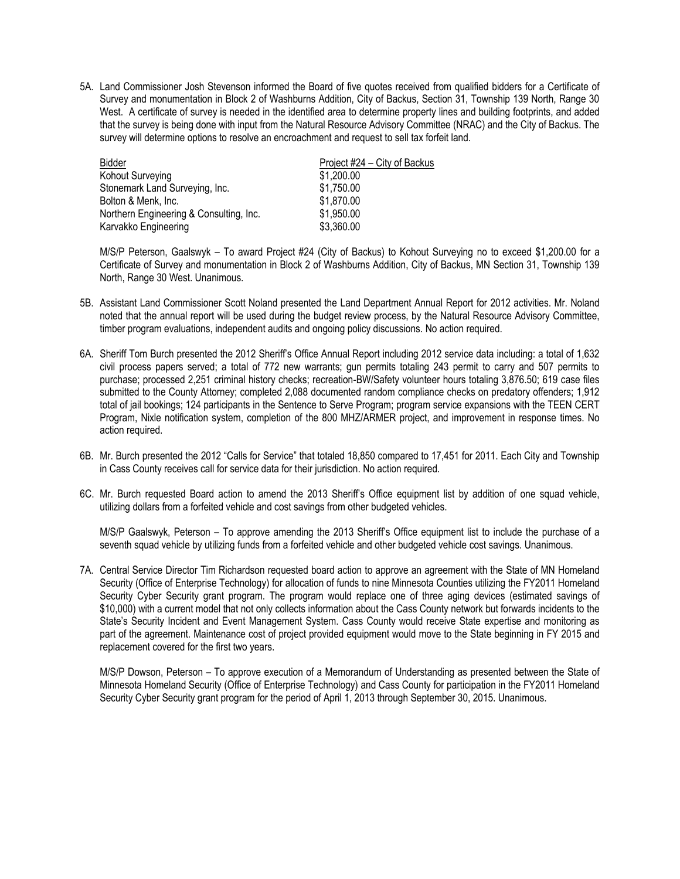5A. Land Commissioner Josh Stevenson informed the Board of five quotes received from qualified bidders for a Certificate of Survey and monumentation in Block 2 of Washburns Addition, City of Backus, Section 31, Township 139 North, Range 30 West. A certificate of survey is needed in the identified area to determine property lines and building footprints, and added that the survey is being done with input from the Natural Resource Advisory Committee (NRAC) and the City of Backus. The survey will determine options to resolve an encroachment and request to sell tax forfeit land.

| Bidder                                  | Project #24 – City of Backus |
|-----------------------------------------|------------------------------|
| Kohout Surveying                        | \$1,200.00                   |
| Stonemark Land Surveying, Inc.          | \$1,750.00                   |
| Bolton & Menk, Inc.                     | \$1,870.00                   |
| Northern Engineering & Consulting, Inc. | \$1,950.00                   |
| Karvakko Engineering                    | \$3,360.00                   |

M/S/P Peterson, Gaalswyk – To award Project #24 (City of Backus) to Kohout Surveying no to exceed \$1,200.00 for a Certificate of Survey and monumentation in Block 2 of Washburns Addition, City of Backus, MN Section 31, Township 139 North, Range 30 West. Unanimous.

- 5B. Assistant Land Commissioner Scott Noland presented the Land Department Annual Report for 2012 activities. Mr. Noland noted that the annual report will be used during the budget review process, by the Natural Resource Advisory Committee, timber program evaluations, independent audits and ongoing policy discussions. No action required.
- 6A. Sheriff Tom Burch presented the 2012 Sheriff's Office Annual Report including 2012 service data including: a total of 1,632 civil process papers served; a total of 772 new warrants; gun permits totaling 243 permit to carry and 507 permits to purchase; processed 2,251 criminal history checks; recreation-BW/Safety volunteer hours totaling 3,876.50; 619 case files submitted to the County Attorney; completed 2,088 documented random compliance checks on predatory offenders; 1,912 total of jail bookings; 124 participants in the Sentence to Serve Program; program service expansions with the TEEN CERT Program, Nixle notification system, completion of the 800 MHZ/ARMER project, and improvement in response times. No action required.
- 6B. Mr. Burch presented the 2012 "Calls for Service" that totaled 18,850 compared to 17,451 for 2011. Each City and Township in Cass County receives call for service data for their jurisdiction. No action required.
- 6C. Mr. Burch requested Board action to amend the 2013 Sheriff's Office equipment list by addition of one squad vehicle, utilizing dollars from a forfeited vehicle and cost savings from other budgeted vehicles.

M/S/P Gaalswyk, Peterson – To approve amending the 2013 Sheriff's Office equipment list to include the purchase of a seventh squad vehicle by utilizing funds from a forfeited vehicle and other budgeted vehicle cost savings. Unanimous.

7A. Central Service Director Tim Richardson requested board action to approve an agreement with the State of MN Homeland Security (Office of Enterprise Technology) for allocation of funds to nine Minnesota Counties utilizing the FY2011 Homeland Security Cyber Security grant program. The program would replace one of three aging devices (estimated savings of \$10,000) with a current model that not only collects information about the Cass County network but forwards incidents to the State's Security Incident and Event Management System. Cass County would receive State expertise and monitoring as part of the agreement. Maintenance cost of project provided equipment would move to the State beginning in FY 2015 and replacement covered for the first two years.

M/S/P Dowson, Peterson – To approve execution of a Memorandum of Understanding as presented between the State of Minnesota Homeland Security (Office of Enterprise Technology) and Cass County for participation in the FY2011 Homeland Security Cyber Security grant program for the period of April 1, 2013 through September 30, 2015. Unanimous.